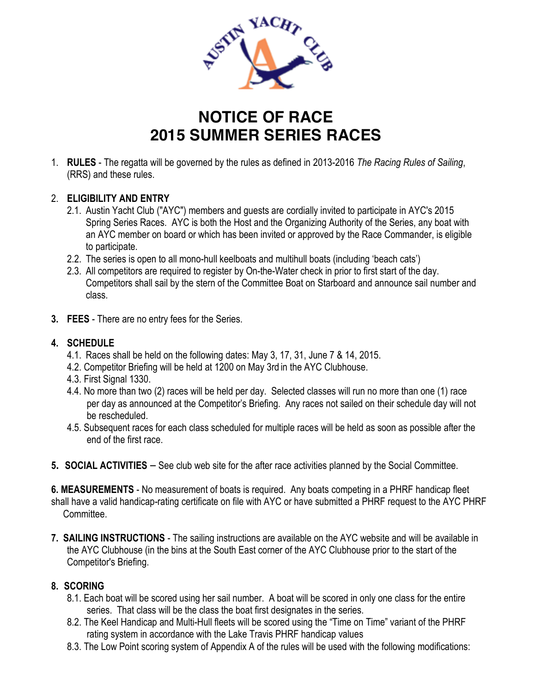

## **NOTICE OF RACE 2015 SUMMER SERIES RACES**

1. **RULES** - The regatta will be governed by the rules as defined in 2013-2016 *The Racing Rules of Sailing*, (RRS) and these rules.

## 2. **ELIGIBILITY AND ENTRY**

- 2.1. Austin Yacht Club ("AYC") members and guests are cordially invited to participate in AYC's 2015 Spring Series Races. AYC is both the Host and the Organizing Authority of the Series, any boat with an AYC member on board or which has been invited or approved by the Race Commander, is eligible to participate.
- 2.2. The series is open to all mono-hull keelboats and multihull boats (including 'beach cats')
- 2.3. All competitors are required to register by On-the-Water check in prior to first start of the day. Competitors shall sail by the stern of the Committee Boat on Starboard and announce sail number and class.
- **3. FEES** There are no entry fees for the Series.

## **4. SCHEDULE**

- 4.1. Races shall be held on the following dates: May 3, 17, 31, June 7 & 14, 2015.
- 4.2. Competitor Briefing will be held at 1200 on May 3rd in the AYC Clubhouse.
- 4.3. First Signal 1330.
- 4.4. No more than two (2) races will be held per day. Selected classes will run no more than one (1) race per day as announced at the Competitor's Briefing. Any races not sailed on their schedule day will not be rescheduled.
- 4.5. Subsequent races for each class scheduled for multiple races will be held as soon as possible after the end of the first race.
- **5. SOCIAL ACTIVITIES** See club web site for the after race activities planned by the Social Committee.

**6. MEASUREMENTS** - No measurement of boats is required. Any boats competing in a PHRF handicap fleet shall have a valid handicap-rating certificate on file with AYC or have submitted a PHRF request to the AYC PHRF Committee.

**7. SAILING INSTRUCTIONS** - The sailing instructions are available on the AYC website and will be available in the AYC Clubhouse (in the bins at the South East corner of the AYC Clubhouse prior to the start of the Competitor's Briefing.

## **8. SCORING**

- 8.1. Each boat will be scored using her sail number. A boat will be scored in only one class for the entire series. That class will be the class the boat first designates in the series.
- 8.2. The Keel Handicap and Multi-Hull fleets will be scored using the "Time on Time" variant of the PHRF rating system in accordance with the Lake Travis PHRF handicap values
- 8.3. The Low Point scoring system of Appendix A of the rules will be used with the following modifications: